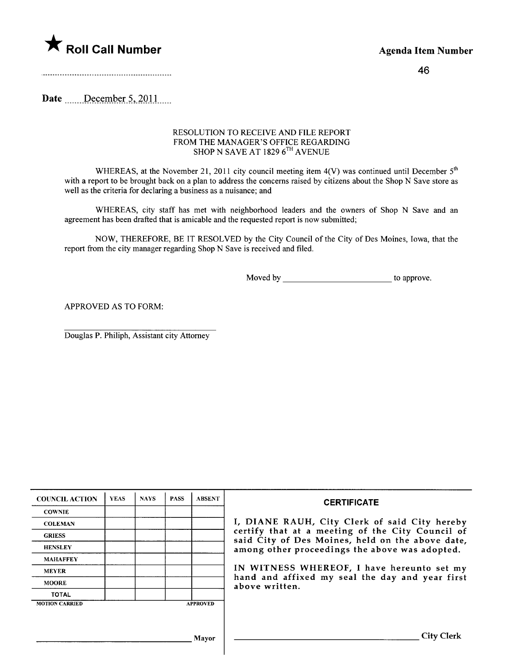

46

Date ......December 5, 2011.....

## RESOLUTION TO RECEIVE AND FILE REPORT FROM THE MANAGER'S OFFICE REGARDING SHOP N SAVE AT 1829 6<sup>th</sup> AVENUE

WHEREAS, at the November 21, 2011 city council meeting item  $4(V)$  was continued until December  $5<sup>th</sup>$ with a report to be brought back on a plan to address the concerns raised by citizens about the Shop N Save store as well as the criteria for declaring a business as a nuisance; and

WHEREAS, city staff has met with neighborhood leaders and the owners of Shop N Save and an agreement has been drafted that is amicable and the requested report is now submitted;

NOW, THEREFORE, BE IT RESOLVED by the City Council of the City of Des Moines, Iowa, that the report from the city manager regarding Shop N Save is received and fied.

Moved by to approve.

APPROVED AS TO FORM:

Douglas P. Philiph, Assistant city Attorney

| <b>COUNCIL ACTION</b> | <b>YEAS</b> | <b>NAYS</b> | <b>PASS</b> | <b>ABSENT</b>   | <b>CERTIFICATE</b>                                                                                                                                                |  |
|-----------------------|-------------|-------------|-------------|-----------------|-------------------------------------------------------------------------------------------------------------------------------------------------------------------|--|
| <b>COWNIE</b>         |             |             |             |                 |                                                                                                                                                                   |  |
| <b>COLEMAN</b>        |             |             |             |                 | I, DIANE RAUH, City Clerk of said City hereby                                                                                                                     |  |
| <b>GRIESS</b>         |             |             |             |                 | certify that at a meeting of the City Council of<br>said City of Des Moines, held on the above date,                                                              |  |
| <b>HENSLEY</b>        |             |             |             |                 | among other proceedings the above was adopted.<br>IN WITNESS WHEREOF, I have hereunto set my<br>hand and affixed my seal the day and year first<br>above written. |  |
| <b>MAHAFFEY</b>       |             |             |             |                 |                                                                                                                                                                   |  |
| <b>MEYER</b>          |             |             |             |                 |                                                                                                                                                                   |  |
| <b>MOORE</b>          |             |             |             |                 |                                                                                                                                                                   |  |
| <b>TOTAL</b>          |             |             |             |                 |                                                                                                                                                                   |  |
| <b>MOTION CARRIED</b> |             |             |             | <b>APPROVED</b> |                                                                                                                                                                   |  |
|                       |             |             |             |                 |                                                                                                                                                                   |  |
|                       |             |             |             | Mavor           | <b>City Clerk</b>                                                                                                                                                 |  |

 $\mathbf{I}$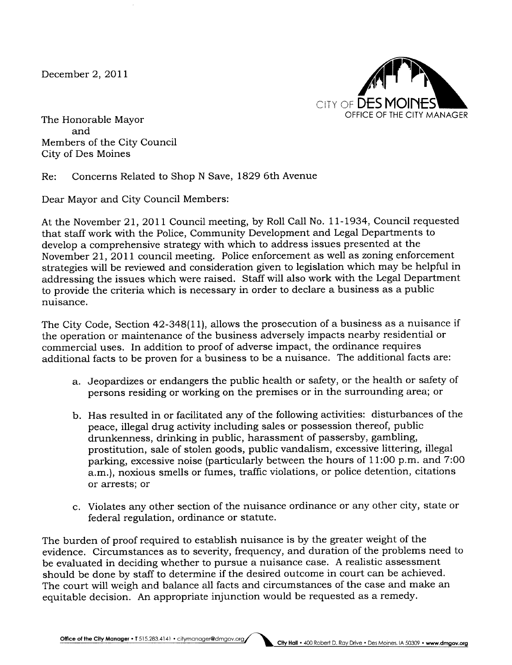December 2, 2011



The Honorable Mayor and Members of the City Council City of Des Moines

Re: Concerns Related to Shop N Save, 1829 6th Avenue

Dear Mayor and City Council Members:

At the November 21,2011 Council meeting, by Roll Call No. 11-1934, Council requested that staff work with the Police, Community Development and Legal Departments to develop a comprehensive strategy with which to address issues presented at the November 21,2011 council meeting. Police enforcement as well as zoning enforcement strategies will be reviewed and consideration given to legislation which may be helpful in addressing the issues which were raised. Staff will also work with the Legal Department to provide the criteria which is necessary in order to declare a business as a public nuisance.

The City Code, Section 42-348(11), allows the prosecution of a business as a nuisance if the operation or maintenance of the business adversely impacts nearby residential or commercial uses. In addition to proof of adverse impact, the ordinance requires additional facts to be proven for a business to be a nuisance. The additional facts are:

- a. Jeopardizes or endangers the public health or safety, or the health or safety of persons residing or working on the premises or in the surrounding area; or
- b. Has resulted in or facilitated any of the following activities: disturbances of the peace, ilegal drug activity including sales or possession thereof, public drunkenness, drinking in public, harassment of passersby, gambling, prostitution, sale of stolen goods, public vandalism, excessive littering, ilegal parking, excessive noise (particularly between the hours of 11:00 p.m. and 7:00 a.m.), noxious smells or fumes, traffic violations, or police detention, citations or arrests; or
- c. Violates any other section of the nuisance ordinance or any other city, state or federal regulation, ordinance or statute.

The burden of proof required to establish nuisance is by the greater weight of the evidence. Circumstances as to severity, frequency, and duration of the problems need to be evaluated in deciding whether to pursue a nuisance case. A realistic assessment should be done by staff to determine if the desired outcome in court can be achieved. The court will weigh and balance all facts and circumstances of the case and make an equitable decision. An appropriate injunction would be requested as a remedy.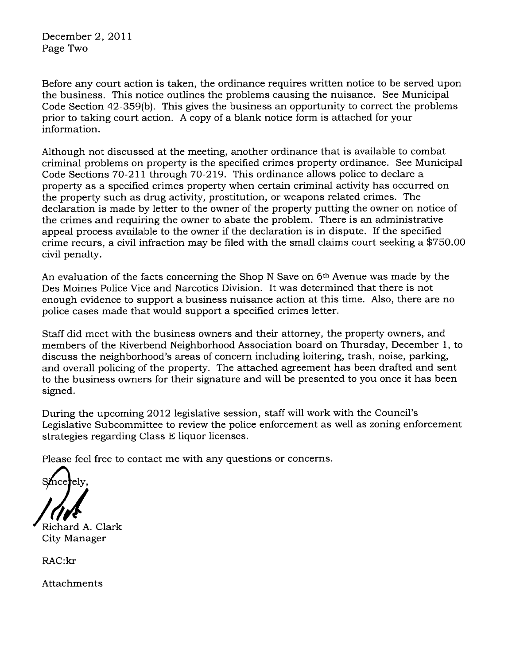December 2, 2011 Page Two

Before any court action is taken, the ordinance requires written notice to be served upon the business. This notice outlines the problems causing the nuisance. See Municipal Code Section 42-359(b). This gives the business an opportunity to correct the problems prior to takng court action. A copy of a blank notice form is attached for your information.

Although not discussed at the meeting, another ordinance that is available to combat criminal problems on property is the specified crimes property ordinance. See Municipal Code Sections 70-211 through 70-219. This ordinance allows police to declare a property as a specified crimes property when certain criminal activity has occurred on the property such as drug activity, prostitution, or weapons related crimes. The declaration is made by letter to the owner of the property putting the owner on notice of the crimes and requiring the owner to abate the problem. There is an administrative appeal process available to the owner if the declaration is in dispute. If the specified crime recurs, a civil infraction may be fied with the small claims court seeking a \$750.00 civil penalty.

An evaluation of the facts concerning the Shop N Save on 6th Avenue was made by the Des Moines Police Vice and Narcotics Division. It was determined that there is not enough evidence to support a business nuisance action at this time. Also, there are no police cases made that would support a specified crimes letter.

Staff did meet with the business owners and their attorney, the property owners, and members of the Riverbend Neighborhood Association board on Thursday, December 1, to discuss the neighborhood's areas of concern including loitering, trash, noise, parking, and overall policing of the property. The attached agreement has been drafted and sent to the business owners for their signature and will be presented to you once it has been signed.

During the upcoming 2012 legislative session, staff will work with the Council's Legislative Subcommittee to review the police enforcement as well as zoning enforcement strategies regarding Class E liquor licenses.

Please feel free to contact me with any questions or concerns.

'ely.

Richard A. Clark City Manager

RAC:kr

Attachments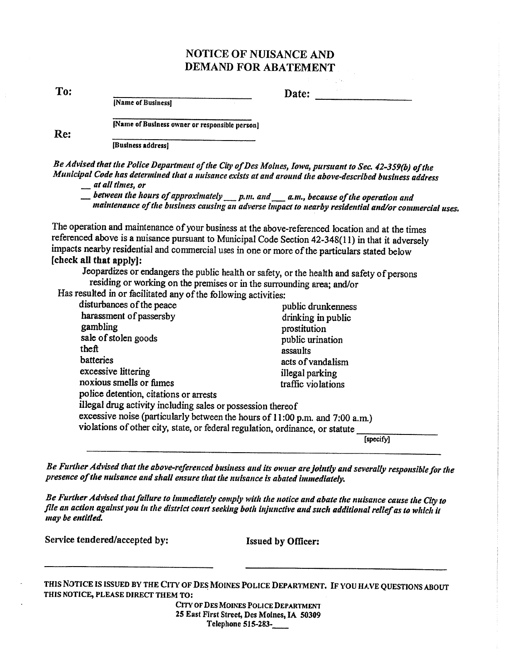## **NOTICE OF NUISANCE AND DEMAND FOR ABATEMENT**

To:

Re:

Date:

[Name of Business]

[Name of Business owner or responsible person]

[Business address]

Be Advised that the Police Department of the City of Des Moines, Iowa, pursuant to Sec. 42-359(b) of the Municipal Code has determined that a nuisance exists at and around the above-described business address

\_\_ at all times, or

 $\equiv$  between the hours of approximately p.m. and a.m., because of the operation and maintenance of the business causing an adverse impact to nearby residential and/or commercial uses.

The operation and maintenance of your business at the above-referenced location and at the times referenced above is a nuisance pursuant to Municipal Code Section 42-348(11) in that it adversely impacts nearby residential and commercial uses in one or more of the particulars stated below [check all that apply]:

Jeopardizes or endangers the public health or safety, or the health and safety of persons residing or working on the premises or in the surrounding area; and/or

Has resulted in or facilitated any of the following activities:

| disturbances of the peace                                                     | public drunkenness |
|-------------------------------------------------------------------------------|--------------------|
| harassment of passersby                                                       | drinking in public |
| gambling                                                                      | prostitution       |
| sale of stolen goods                                                          | public urination   |
| theft                                                                         | assaults           |
| batteries                                                                     | acts of vandalism  |
| excessive littering                                                           | illegal parking    |
| noxious smells or fumes                                                       | traffic violations |
| police detention, citations or arrests                                        |                    |
| illegal drug activity including sales or possession thereof                   |                    |
| excessive noise (particularly between the hours of 11:00 p.m. and 7:00 a.m.)  |                    |
| violations of other city, state, or federal regulation, ordinance, or statute |                    |
|                                                                               | [specify]          |

Be Further Advised that the above-referenced business and its owner are jointly and severally responsible for the presence of the nuisance and shall ensure that the nuisance is abated immediately.

Be Further Advised that failure to immediately comply with the notice and abate the nuisance cause the City to file an action against you in the district court seeking both injunctive and such additional relief as to which it may be entitled.

Service tendered/accepted by:

**Issued by Officer:** 

THIS NOTICE IS ISSUED BY THE CITY OF DES MOINES POLICE DEPARTMENT. IF YOU HAVE QUESTIONS ABOUT THIS NOTICE, PLEASE DIRECT THEM TO:

CITY OF DES MOINES POLICE DEPARTMENT 25 East First Street, Des Moines, IA 50309 Telephone 515-283-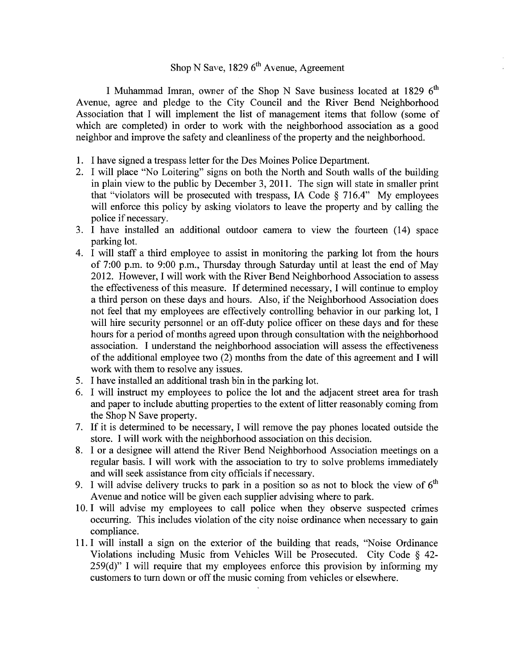## Shop N Save, 1829  $6<sup>th</sup>$  Avenue, Agreement

I Muhammad Imran, owner of the Shop N Save business located at 1829 6<sup>th</sup> Avenue, agree and pledge to the City Council and the River Bend Neighborhood Association that I wil implement the list of management items that follow (some of which are completed) in order to work with the neighborhood association as a good neighbor and improve the safety and cleanliness of the property and the neighborhood.

- i. I have signed a trespass letter for the Des Moines Police Department.
- 2. I will place "No Loitering" signs on both the North and South walls of the building in plain view to the public by December 3, 2011. The sign will state in smaller print that "violators will be prosecuted with trespass, IA Code  $\S$  716.4" My employees will enforce this policy by asking violators to leave the property and by calling the police if necessary.
- 3. I have installed an additional outdoor camera to view the fourteen (14) space parking lot.
- 4. I wil staff a third employee to assist in monitoring the parking lot from the hours of 7:00 p.m. to 9:00 p.m., Thursday through Saturday until at least the end of May 2012. However, I will work with the River Bend Neighborhood Association to assess the effectiveness of this measure. If determined necessary, I wil continue to employ a third person on these days and hours. Also, if the Neighborhood Association does not feel that my employees are effectively controlling behavior in our parking lot, I will hire security personnel or an off-duty police officer on these days and for these hours for a period of months agreed upon through consultation with the neighborhood association. I understand the neighborhood association will assess the effectiveness of the additional employee two (2) months from the date of this agreement and I wil work with them to resolve any issues.
- 5. I have installed an additional trash bin in the parking lot.
- 6. I wil instruct my employees to police the lot and the adjacent street area for trash and paper to include abutting properties to the extent of litter reasonably coming from the Shop N Save property.
- 7. If it is determined to be necessary, I will remove the pay phones located outside the store. I will work with the neighborhood association on this decision.
- 8. I or a designee will attend the River Bend Neighborhood Association meetings on a regular basis. I will work with the association to try to solve problems immediately and will seek assistance from city officials if necessary.
- 9. I will advise delivery trucks to park in a position so as not to block the view of  $6<sup>th</sup>$ Avenue and notice will be given each supplier advising where to park.
- 10. I will advise my employees to call police when they observe suspected crimes occurring. This includes violation of the city noise ordinance when necessary to gain compliance.
- i 1. I wil install a sign on the exterior of the building that reads, "Noise Ordinance Violations including Music from Vehicles Will be Prosecuted. City Code § 42- $259(d)$ " I will require that my employees enforce this provision by informing my customers to turn down or off the music coming from vehicles or elsewhere.